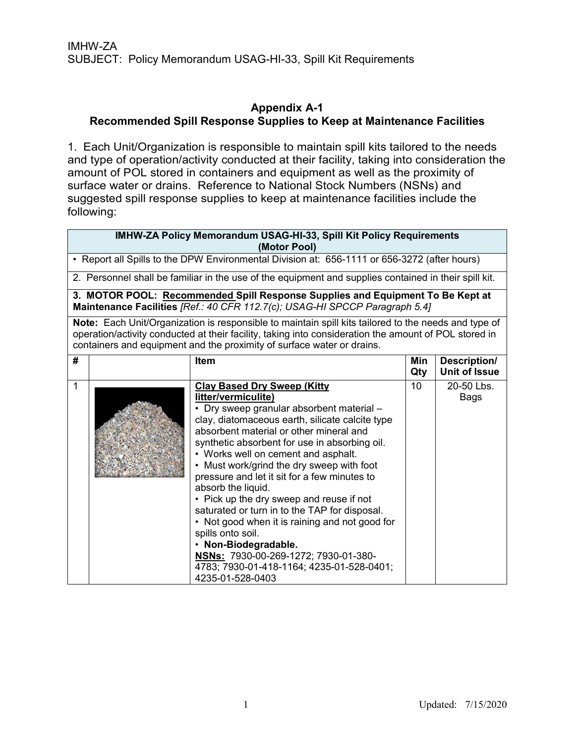### **Appendix A-1 Recommended Spill Response Supplies to Keep at Maintenance Facilities**

1. Each Unit/Organization is responsible to maintain spill kits tailored to the needs and type of operation/activity conducted at their facility, taking into consideration the amount of POL stored in containers and equipment as well as the proximity of surface water or drains. Reference to National Stock Numbers (NSNs) and suggested spill response supplies to keep at maintenance facilities include the following:

| <b>IMHW-ZA Policy Memorandum USAG-HI-33, Spill Kit Policy Requirements</b><br>(Motor Pool)                                                                                                                                                                                              |                                                                                              |                                                                                                                                                                                                                                                                                                                                                                                                                                                                                                                                                                                                                                                                                                                      |            |                                      |  |
|-----------------------------------------------------------------------------------------------------------------------------------------------------------------------------------------------------------------------------------------------------------------------------------------|----------------------------------------------------------------------------------------------|----------------------------------------------------------------------------------------------------------------------------------------------------------------------------------------------------------------------------------------------------------------------------------------------------------------------------------------------------------------------------------------------------------------------------------------------------------------------------------------------------------------------------------------------------------------------------------------------------------------------------------------------------------------------------------------------------------------------|------------|--------------------------------------|--|
|                                                                                                                                                                                                                                                                                         | • Report all Spills to the DPW Environmental Division at: 656-1111 or 656-3272 (after hours) |                                                                                                                                                                                                                                                                                                                                                                                                                                                                                                                                                                                                                                                                                                                      |            |                                      |  |
|                                                                                                                                                                                                                                                                                         |                                                                                              | 2. Personnel shall be familiar in the use of the equipment and supplies contained in their spill kit.                                                                                                                                                                                                                                                                                                                                                                                                                                                                                                                                                                                                                |            |                                      |  |
|                                                                                                                                                                                                                                                                                         |                                                                                              | 3. MOTOR POOL: Recommended Spill Response Supplies and Equipment To Be Kept at<br>Maintenance Facilities [Ref.: 40 CFR 112.7(c); USAG-HI SPCCP Paragraph 5.4]                                                                                                                                                                                                                                                                                                                                                                                                                                                                                                                                                        |            |                                      |  |
| Note: Each Unit/Organization is responsible to maintain spill kits tailored to the needs and type of<br>operation/activity conducted at their facility, taking into consideration the amount of POL stored in<br>containers and equipment and the proximity of surface water or drains. |                                                                                              |                                                                                                                                                                                                                                                                                                                                                                                                                                                                                                                                                                                                                                                                                                                      |            |                                      |  |
| #                                                                                                                                                                                                                                                                                       |                                                                                              | <b>Item</b>                                                                                                                                                                                                                                                                                                                                                                                                                                                                                                                                                                                                                                                                                                          | Min<br>Qty | Description/<br><b>Unit of Issue</b> |  |
| $\mathbf{1}$                                                                                                                                                                                                                                                                            |                                                                                              | <b>Clay Based Dry Sweep (Kitty</b><br>litter/vermiculite)<br>• Dry sweep granular absorbent material -<br>clay, diatomaceous earth, silicate calcite type<br>absorbent material or other mineral and<br>synthetic absorbent for use in absorbing oil.<br>• Works well on cement and asphalt.<br>• Must work/grind the dry sweep with foot<br>pressure and let it sit for a few minutes to<br>absorb the liquid.<br>• Pick up the dry sweep and reuse if not<br>saturated or turn in to the TAP for disposal.<br>• Not good when it is raining and not good for<br>spills onto soil.<br>· Non-Biodegradable.<br>NSNs: 7930-00-269-1272; 7930-01-380-<br>4783; 7930-01-418-1164; 4235-01-528-0401;<br>4235-01-528-0403 | 10         | 20-50 Lbs.<br>Bags                   |  |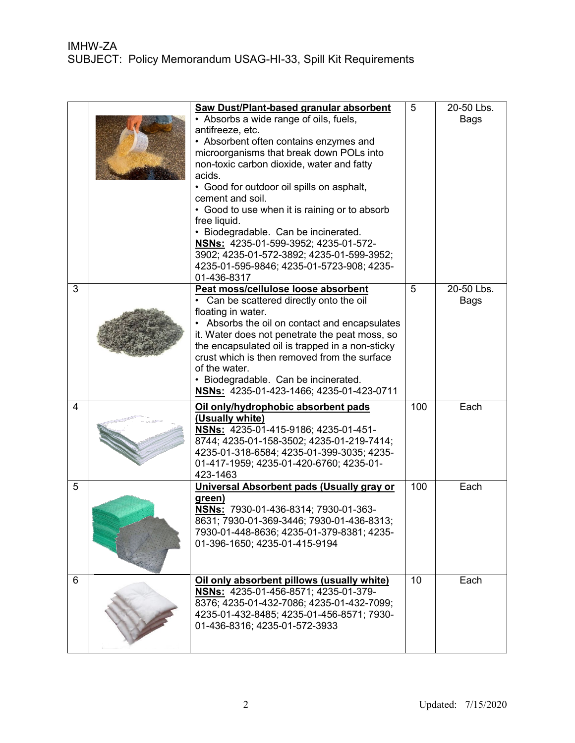|   | Saw Dust/Plant-based granular absorbent<br>• Absorbs a wide range of oils, fuels,<br>antifreeze, etc.<br>• Absorbent often contains enzymes and<br>microorganisms that break down POLs into<br>non-toxic carbon dioxide, water and fatty<br>acids.<br>• Good for outdoor oil spills on asphalt,<br>cement and soil.<br>• Good to use when it is raining or to absorb<br>free liquid.<br>· Biodegradable. Can be incinerated.<br>NSNs: 4235-01-599-3952; 4235-01-572-<br>3902; 4235-01-572-3892; 4235-01-599-3952;<br>4235-01-595-9846; 4235-01-5723-908; 4235-<br>01-436-8317 | 5   | 20-50 Lbs.<br>Bags |
|---|-------------------------------------------------------------------------------------------------------------------------------------------------------------------------------------------------------------------------------------------------------------------------------------------------------------------------------------------------------------------------------------------------------------------------------------------------------------------------------------------------------------------------------------------------------------------------------|-----|--------------------|
| 3 | Peat moss/cellulose loose absorbent<br>• Can be scattered directly onto the oil<br>floating in water.<br>• Absorbs the oil on contact and encapsulates<br>it. Water does not penetrate the peat moss, so<br>the encapsulated oil is trapped in a non-sticky<br>crust which is then removed from the surface<br>of the water.<br>• Biodegradable. Can be incinerated.<br>NSNs: 4235-01-423-1466; 4235-01-423-0711                                                                                                                                                              | 5   | 20-50 Lbs.<br>Bags |
| 4 | Oil only/hydrophobic absorbent pads<br>(Usually white)<br>NSNs: 4235-01-415-9186; 4235-01-451-<br>8744; 4235-01-158-3502; 4235-01-219-7414;<br>4235-01-318-6584; 4235-01-399-3035; 4235-<br>01-417-1959; 4235-01-420-6760; 4235-01-<br>423-1463                                                                                                                                                                                                                                                                                                                               | 100 | Each               |
| 5 | Universal Absorbent pads (Usually gray or<br>green)<br>NSNs: 7930-01-436-8314; 7930-01-363-<br>8631; 7930-01-369-3446; 7930-01-436-8313;<br>7930-01-448-8636; 4235-01-379-8381; 4235-<br>01-396-1650; 4235-01-415-9194                                                                                                                                                                                                                                                                                                                                                        | 100 | Each               |
| 6 | Oil only absorbent pillows (usually white)<br>NSNs: 4235-01-456-8571; 4235-01-379-<br>8376; 4235-01-432-7086; 4235-01-432-7099;<br>4235-01-432-8485; 4235-01-456-8571; 7930-<br>01-436-8316; 4235-01-572-3933                                                                                                                                                                                                                                                                                                                                                                 | 10  | Each               |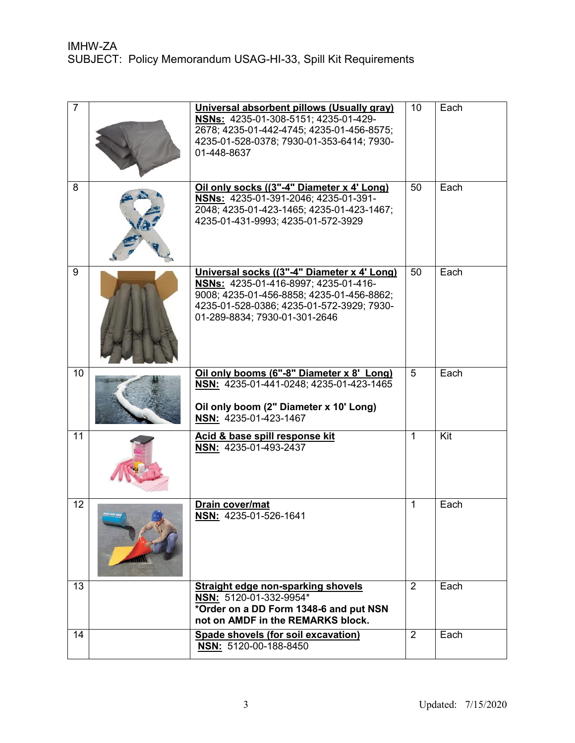| $\overline{7}$ | Universal absorbent pillows (Usually gray)<br>NSNs: 4235-01-308-5151; 4235-01-429-<br>2678; 4235-01-442-4745; 4235-01-456-8575;<br>4235-01-528-0378; 7930-01-353-6414; 7930-<br>01-448-8637                    | 10           | Each |
|----------------|----------------------------------------------------------------------------------------------------------------------------------------------------------------------------------------------------------------|--------------|------|
| 8              | Oil only socks ((3"-4" Diameter x 4' Long)<br>NSNs: 4235-01-391-2046; 4235-01-391-<br>2048; 4235-01-423-1465; 4235-01-423-1467;<br>4235-01-431-9993; 4235-01-572-3929                                          | 50           | Each |
| 9              | Universal socks ((3"-4" Diameter x 4' Long)<br>NSNs: 4235-01-416-8997; 4235-01-416-<br>9008; 4235-01-456-8858; 4235-01-456-8862;<br>4235-01-528-0386; 4235-01-572-3929; 7930-<br>01-289-8834; 7930-01-301-2646 | 50           | Each |
| 10             | Oil only booms (6"-8" Diameter x 8' Long)<br>NSN: 4235-01-441-0248; 4235-01-423-1465<br>Oil only boom (2" Diameter x 10' Long)<br>NSN: 4235-01-423-1467                                                        | 5            | Each |
| 11             | Acid & base spill response kit<br>NSN: 4235-01-493-2437                                                                                                                                                        | $\mathbf{1}$ | Kit  |
| 12             | Drain cover/mat<br>NSN: 4235-01-526-1641                                                                                                                                                                       | $\mathbf{1}$ | Each |
| 13             | <b>Straight edge non-sparking shovels</b><br>NSN: 5120-01-332-9954*<br>*Order on a DD Form 1348-6 and put NSN<br>not on AMDF in the REMARKS block.                                                             | 2            | Each |
| 14             | Spade shovels (for soil excavation)<br>NSN: 5120-00-188-8450                                                                                                                                                   | 2            | Each |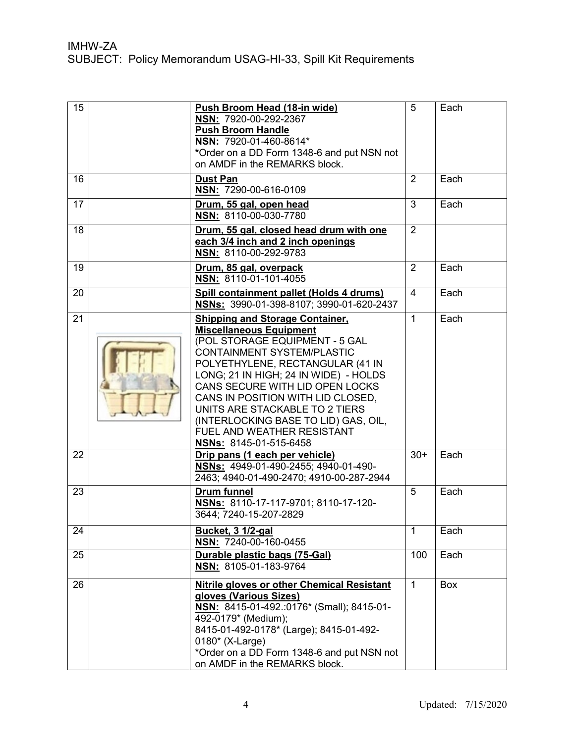| 15 | Push Broom Head (18-in wide)<br>NSN: 7920-00-292-2367<br><b>Push Broom Handle</b><br>NSN: 7920-01-460-8614*<br>*Order on a DD Form 1348-6 and put NSN not<br>on AMDF in the REMARKS block.                                                                                                                                                                                                                                             | 5              | Each       |
|----|----------------------------------------------------------------------------------------------------------------------------------------------------------------------------------------------------------------------------------------------------------------------------------------------------------------------------------------------------------------------------------------------------------------------------------------|----------------|------------|
| 16 | <b>Dust Pan</b><br>NSN: 7290-00-616-0109                                                                                                                                                                                                                                                                                                                                                                                               | 2              | Each       |
| 17 | Drum, 55 gal, open head<br>NSN: 8110-00-030-7780                                                                                                                                                                                                                                                                                                                                                                                       | 3              | Each       |
| 18 | Drum, 55 gal, closed head drum with one<br>each 3/4 inch and 2 inch openings<br>NSN: 8110-00-292-9783                                                                                                                                                                                                                                                                                                                                  | $\overline{2}$ |            |
| 19 | Drum, 85 gal, overpack<br>NSN: 8110-01-101-4055                                                                                                                                                                                                                                                                                                                                                                                        | 2              | Each       |
| 20 | Spill containment pallet (Holds 4 drums)<br>NSNs: 3990-01-398-8107; 3990-01-620-2437                                                                                                                                                                                                                                                                                                                                                   | $\overline{4}$ | Each       |
| 21 | <b>Shipping and Storage Container,</b><br><b>Miscellaneous Equipment</b><br>(POL STORAGE EQUIPMENT - 5 GAL<br><b>CONTAINMENT SYSTEM/PLASTIC</b><br>POLYETHYLENE, RECTANGULAR (41 IN<br>LONG; 21 IN HIGH; 24 IN WIDE) - HOLDS<br>CANS SECURE WITH LID OPEN LOCKS<br>CANS IN POSITION WITH LID CLOSED,<br>UNITS ARE STACKABLE TO 2 TIERS<br>(INTERLOCKING BASE TO LID) GAS, OIL,<br>FUEL AND WEATHER RESISTANT<br>NSNs: 8145-01-515-6458 | $\mathbf{1}$   | Each       |
| 22 | Drip pans (1 each per vehicle)<br>NSNs: 4949-01-490-2455; 4940-01-490-<br>2463; 4940-01-490-2470; 4910-00-287-2944                                                                                                                                                                                                                                                                                                                     | $30+$          | Each       |
| 23 | <b>Drum funnel</b><br>NSNs: 8110-17-117-9701; 8110-17-120-<br>3644; 7240-15-207-2829                                                                                                                                                                                                                                                                                                                                                   | 5              | Each       |
| 24 | Bucket, 3 1/2-gal<br>NSN: 7240-00-160-0455                                                                                                                                                                                                                                                                                                                                                                                             | $\mathbf{1}$   | Each       |
| 25 | Durable plastic bags (75-Gal)<br>NSN: 8105-01-183-9764                                                                                                                                                                                                                                                                                                                                                                                 | 100            | Each       |
| 26 | <b>Nitrile gloves or other Chemical Resistant</b><br>gloves (Various Sizes)<br>NSN: 8415-01-492.:0176* (Small); 8415-01-<br>492-0179* (Medium);<br>8415-01-492-0178* (Large); 8415-01-492-<br>0180* (X-Large)<br>*Order on a DD Form 1348-6 and put NSN not<br>on AMDF in the REMARKS block.                                                                                                                                           | $\mathbf{1}$   | <b>Box</b> |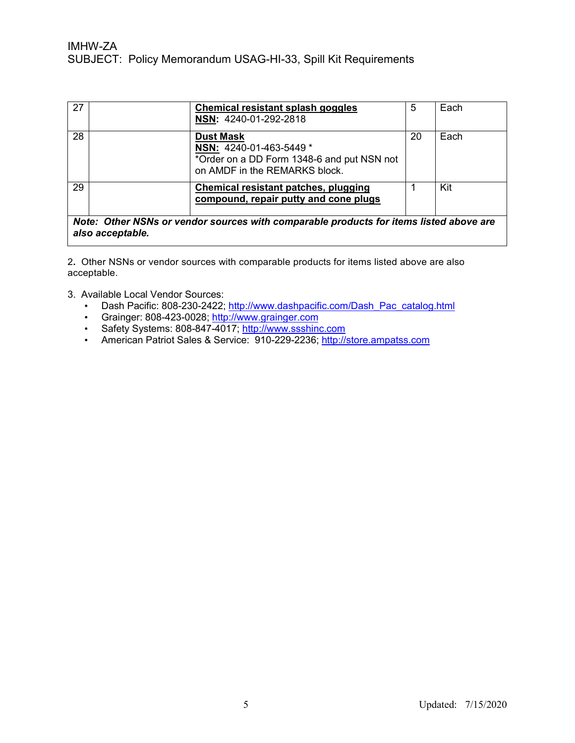| 27                                                                                     |  | <b>Chemical resistant splash goggles</b><br>NSN: 4240-01-292-2818                                                          | 5  | Each |
|----------------------------------------------------------------------------------------|--|----------------------------------------------------------------------------------------------------------------------------|----|------|
| 28                                                                                     |  | <b>Dust Mask</b><br>NSN: 4240-01-463-5449 *<br>*Order on a DD Form 1348-6 and put NSN not<br>on AMDF in the REMARKS block. | 20 | Each |
| 29                                                                                     |  | Chemical resistant patches, plugging<br>compound, repair putty and cone plugs                                              |    | Kit  |
| Note: Other NSNs or vendor sources with comparable products for items listed above are |  |                                                                                                                            |    |      |

*also acceptable.*

2**.** Other NSNs or vendor sources with comparable products for items listed above are also acceptable.

- 3. Available Local Vendor Sources:
	- Dash Pacific: 808-230-2422; http://www.dashpacific.com/Dash\_Pac\_catalog.html
	- Grainger: 808-423-0028; http://www.grainger.com
	- Safety Systems: 808-847-4017; http://www.ssshinc.com
	- American Patriot Sales & Service: 910-229-2236; [http://store.ampatss.com](http://store.ampatss.com/)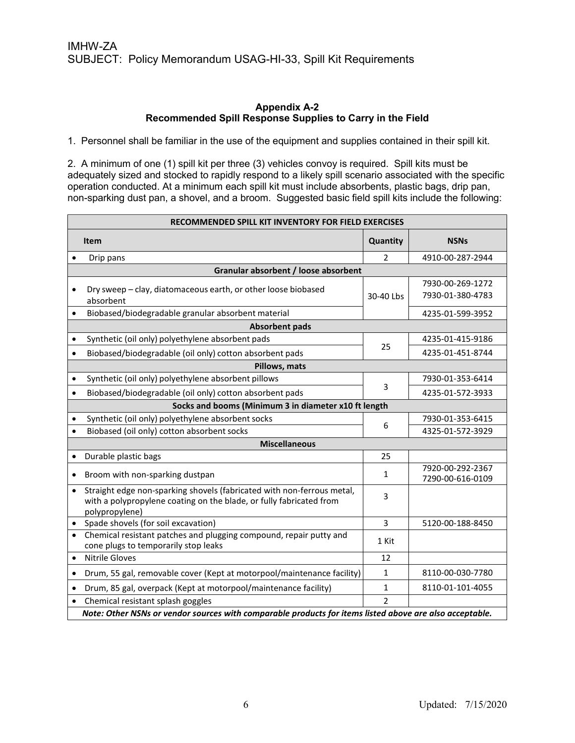#### **Appendix A-2 Recommended Spill Response Supplies to Carry in the Field**

1. Personnel shall be familiar in the use of the equipment and supplies contained in their spill kit.

2. A minimum of one (1) spill kit per three (3) vehicles convoy is required. Spill kits must be adequately sized and stocked to rapidly respond to a likely spill scenario associated with the specific operation conducted. At a minimum each spill kit must include absorbents, plastic bags, drip pan, non-sparking dust pan, a shovel, and a broom. Suggested basic field spill kits include the following:

| RECOMMENDED SPILL KIT INVENTORY FOR FIELD EXERCISES |                                                                                                                                                                 |                |                                      |  |  |
|-----------------------------------------------------|-----------------------------------------------------------------------------------------------------------------------------------------------------------------|----------------|--------------------------------------|--|--|
|                                                     | <b>Item</b>                                                                                                                                                     | Quantity       | <b>NSNs</b>                          |  |  |
|                                                     | Drip pans                                                                                                                                                       | $\mathcal{P}$  | 4910-00-287-2944                     |  |  |
|                                                     | Granular absorbent / loose absorbent                                                                                                                            |                |                                      |  |  |
|                                                     | Dry sweep - clay, diatomaceous earth, or other loose biobased<br>absorbent                                                                                      | 30-40 Lbs      | 7930-00-269-1272<br>7930-01-380-4783 |  |  |
| $\bullet$                                           | Biobased/biodegradable granular absorbent material                                                                                                              |                | 4235-01-599-3952                     |  |  |
|                                                     | <b>Absorbent pads</b>                                                                                                                                           |                |                                      |  |  |
| $\bullet$                                           | Synthetic (oil only) polyethylene absorbent pads                                                                                                                |                | 4235-01-415-9186                     |  |  |
| $\bullet$                                           | Biobased/biodegradable (oil only) cotton absorbent pads                                                                                                         | 25             | 4235-01-451-8744                     |  |  |
|                                                     | Pillows, mats                                                                                                                                                   |                |                                      |  |  |
| $\bullet$                                           | Synthetic (oil only) polyethylene absorbent pillows                                                                                                             |                | 7930-01-353-6414                     |  |  |
| $\bullet$                                           | Biobased/biodegradable (oil only) cotton absorbent pads                                                                                                         | 3              | 4235-01-572-3933                     |  |  |
|                                                     | Socks and booms (Minimum 3 in diameter x10 ft length                                                                                                            |                |                                      |  |  |
| $\bullet$                                           | Synthetic (oil only) polyethylene absorbent socks                                                                                                               | 6              | 7930-01-353-6415                     |  |  |
| $\bullet$                                           | Biobased (oil only) cotton absorbent socks                                                                                                                      |                | 4325-01-572-3929                     |  |  |
|                                                     | <b>Miscellaneous</b>                                                                                                                                            |                |                                      |  |  |
| $\bullet$                                           | Durable plastic bags                                                                                                                                            | 25             |                                      |  |  |
|                                                     | Broom with non-sparking dustpan                                                                                                                                 | 1              | 7920-00-292-2367<br>7290-00-616-0109 |  |  |
| $\bullet$                                           | Straight edge non-sparking shovels (fabricated with non-ferrous metal,<br>with a polypropylene coating on the blade, or fully fabricated from<br>polypropylene) | 3              |                                      |  |  |
|                                                     | Spade shovels (for soil excavation)                                                                                                                             | 3              | 5120-00-188-8450                     |  |  |
|                                                     | Chemical resistant patches and plugging compound, repair putty and<br>cone plugs to temporarily stop leaks                                                      | 1 Kit          |                                      |  |  |
| $\bullet$                                           | <b>Nitrile Gloves</b>                                                                                                                                           | 12             |                                      |  |  |
| $\bullet$                                           | Drum, 55 gal, removable cover (Kept at motorpool/maintenance facility)                                                                                          | 1              | 8110-00-030-7780                     |  |  |
| $\bullet$                                           | Drum, 85 gal, overpack (Kept at motorpool/maintenance facility)                                                                                                 | 1              | 8110-01-101-4055                     |  |  |
|                                                     | Chemical resistant splash goggles                                                                                                                               | $\mathfrak{p}$ |                                      |  |  |
|                                                     | Note: Other NSNs or vendor sources with comparable products for items listed above are also acceptable.                                                         |                |                                      |  |  |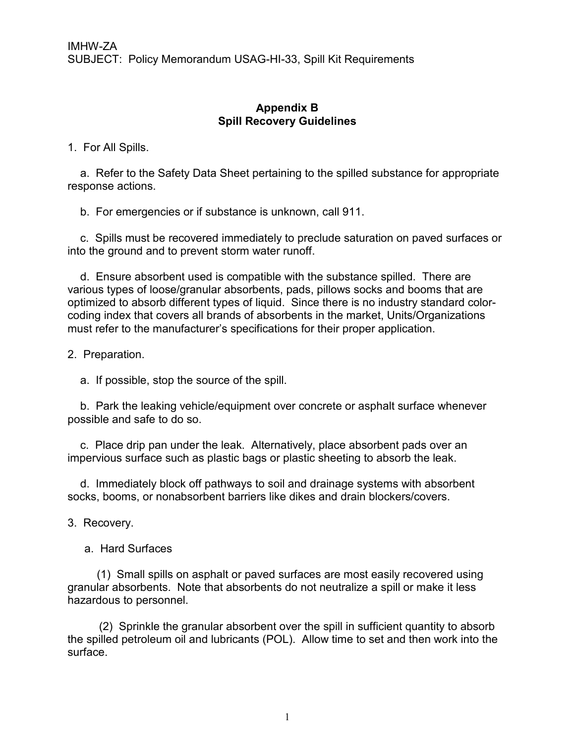### **Appendix B Spill Recovery Guidelines**

1. For All Spills.

 a. Refer to the Safety Data Sheet pertaining to the spilled substance for appropriate response actions.

b. For emergencies or if substance is unknown, call 911.

 c. Spills must be recovered immediately to preclude saturation on paved surfaces or into the ground and to prevent storm water runoff.

 d. Ensure absorbent used is compatible with the substance spilled. There are various types of loose/granular absorbents, pads, pillows socks and booms that are optimized to absorb different types of liquid. Since there is no industry standard colorcoding index that covers all brands of absorbents in the market, Units/Organizations must refer to the manufacturer's specifications for their proper application.

2. Preparation.

a. If possible, stop the source of the spill.

 b. Park the leaking vehicle/equipment over concrete or asphalt surface whenever possible and safe to do so.

 c. Place drip pan under the leak. Alternatively, place absorbent pads over an impervious surface such as plastic bags or plastic sheeting to absorb the leak.

 d. Immediately block off pathways to soil and drainage systems with absorbent socks, booms, or nonabsorbent barriers like dikes and drain blockers/covers.

3. Recovery.

a. Hard Surfaces

 (1) Small spills on asphalt or paved surfaces are most easily recovered using granular absorbents. Note that absorbents do not neutralize a spill or make it less hazardous to personnel.

 (2) Sprinkle the granular absorbent over the spill in sufficient quantity to absorb the spilled petroleum oil and lubricants (POL). Allow time to set and then work into the surface.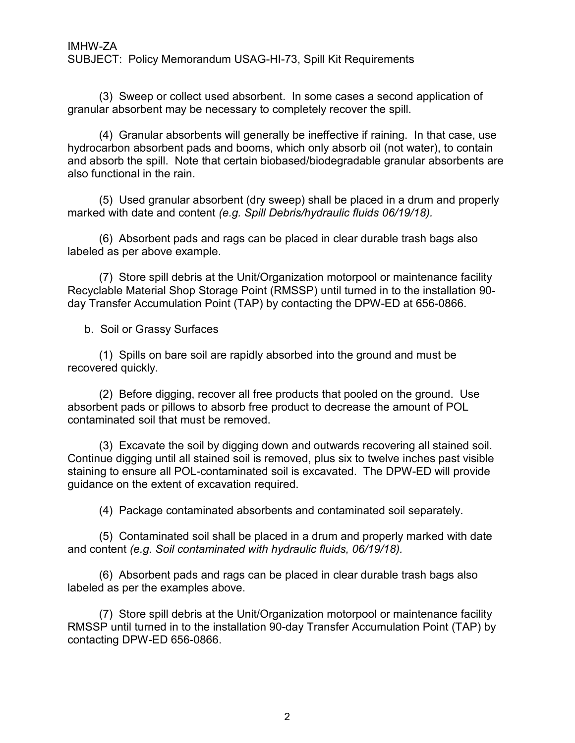(3) Sweep or collect used absorbent. In some cases a second application of granular absorbent may be necessary to completely recover the spill.

 (4) Granular absorbents will generally be ineffective if raining. In that case, use hydrocarbon absorbent pads and booms, which only absorb oil (not water), to contain and absorb the spill. Note that certain biobased/biodegradable granular absorbents are also functional in the rain.

 (5) Used granular absorbent (dry sweep) shall be placed in a drum and properly marked with date and content *(e.g. Spill Debris/hydraulic fluids 06/19/18).* 

 (6) Absorbent pads and rags can be placed in clear durable trash bags also labeled as per above example.

 (7) Store spill debris at the Unit/Organization motorpool or maintenance facility Recyclable Material Shop Storage Point (RMSSP) until turned in to the installation 90 day Transfer Accumulation Point (TAP) by contacting the DPW-ED at 656-0866.

b. Soil or Grassy Surfaces

 (1) Spills on bare soil are rapidly absorbed into the ground and must be recovered quickly.

 (2) Before digging, recover all free products that pooled on the ground. Use absorbent pads or pillows to absorb free product to decrease the amount of POL contaminated soil that must be removed.

 (3) Excavate the soil by digging down and outwards recovering all stained soil. Continue digging until all stained soil is removed, plus six to twelve inches past visible staining to ensure all POL-contaminated soil is excavated. The DPW-ED will provide guidance on the extent of excavation required.

(4) Package contaminated absorbents and contaminated soil separately.

 (5) Contaminated soil shall be placed in a drum and properly marked with date and content *(e.g. Soil contaminated with hydraulic fluids, 06/19/18).* 

 (6) Absorbent pads and rags can be placed in clear durable trash bags also labeled as per the examples above.

 (7) Store spill debris at the Unit/Organization motorpool or maintenance facility RMSSP until turned in to the installation 90-day Transfer Accumulation Point (TAP) by contacting DPW-ED 656-0866.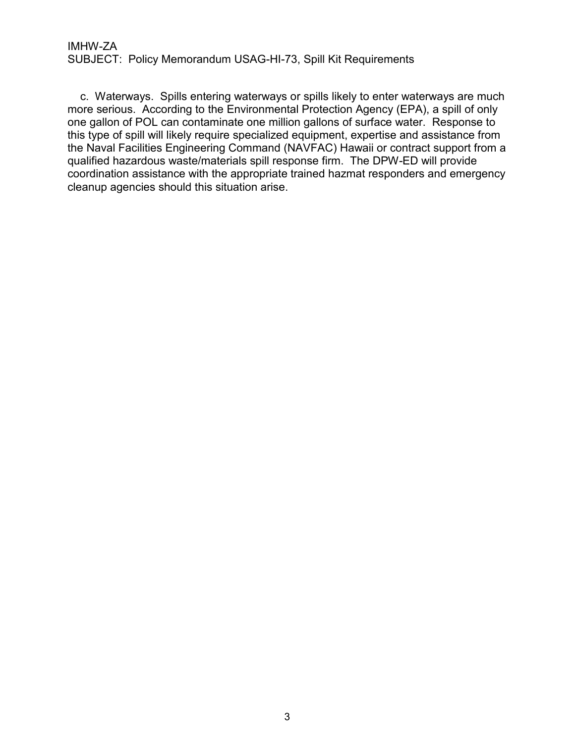c. Waterways. Spills entering waterways or spills likely to enter waterways are much more serious. According to the Environmental Protection Agency (EPA), a spill of only one gallon of POL can contaminate one million gallons of surface water. Response to this type of spill will likely require specialized equipment, expertise and assistance from the Naval Facilities Engineering Command (NAVFAC) Hawaii or contract support from a qualified hazardous waste/materials spill response firm. The DPW-ED will provide coordination assistance with the appropriate trained hazmat responders and emergency cleanup agencies should this situation arise.